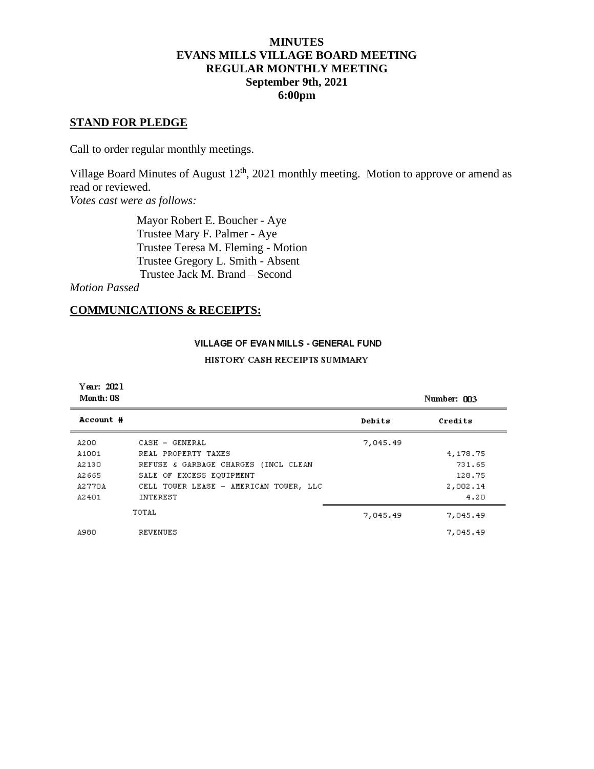### **MINUTES EVANS MILLS VILLAGE BOARD MEETING REGULAR MONTHLY MEETING September 9th, 2021 6:00pm**

#### **STAND FOR PLEDGE**

Call to order regular monthly meetings.

Village Board Minutes of August 12<sup>th</sup>, 2021 monthly meeting. Motion to approve or amend as read or reviewed.

*Votes cast were as follows:*

 Mayor Robert E. Boucher - Aye Trustee Mary F. Palmer - Aye Trustee Teresa M. Fleming - Motion Trustee Gregory L. Smith - Absent Trustee Jack M. Brand – Second

*Motion Passed*

## **COMMUNICATIONS & RECEIPTS:**

# VILLAGE OF EVAN MILLS - GENERAL FUND HISTORY CASH RECEIPTS SUMMARY

| Year: 2021<br>Month: 08 |                                        |          | Number: 003 |
|-------------------------|----------------------------------------|----------|-------------|
| Account #               |                                        | Debits   | Credits     |
| A200                    | CASH - GENERAL                         | 7,045.49 |             |
| A1001                   | REAL PROPERTY TAXES                    |          | 4,178.75    |
| A2130                   | REFUSE & GARBAGE CHARGES (INCL CLEAN   |          | 731.65      |
| A2665                   | SALE OF EXCESS EQUIPMENT               |          | 128.75      |
| A2770A                  | CELL TOWER LEASE - AMERICAN TOWER, LLC |          | 2,002.14    |
| A2401                   | INTEREST                               |          | 4.20        |
|                         | TOTAL                                  | 7,045.49 | 7,045.49    |
| A980                    | REVENUES                               |          | 7,045.49    |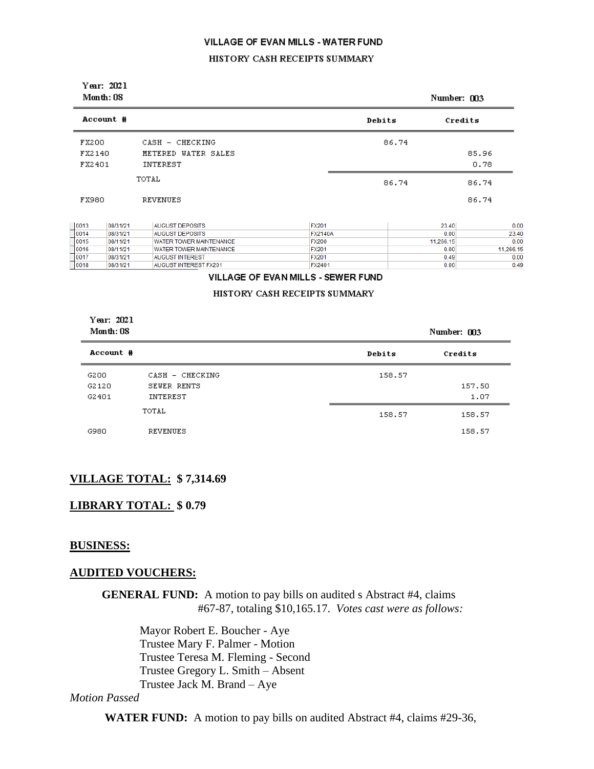#### VILLAGE OF EVAN MILLS - WATER FUND

#### HISTORY CASH RECEIPTS SUMMARY

| Year: 2021<br>$M$ onth: $08$ |                     | Number: 003 |         |  |
|------------------------------|---------------------|-------------|---------|--|
| Account #                    |                     | Debits      | Credits |  |
| FX200                        | CASH - CHECKING     | 86.74       |         |  |
| FX2140                       | METERED WATER SALES |             | 85.96   |  |
| FX2401                       | INTEREST            |             | 0.78    |  |
|                              | TOTAL               | 86.74       | 86.74   |  |
| FX980                        | <b>REVENUES</b>     |             | 86.74   |  |

| 10013 | 08/31/21 | <b>AUGUST DEPOSITS</b>         | <b>FX201</b>   | 23.40     | 0.00      |
|-------|----------|--------------------------------|----------------|-----------|-----------|
| 10014 | 08/31/21 | <b>AUGUST DEPOSITS</b>         | <b>FX2140A</b> | 0.00      | 23.40     |
| 0015  | 08/11/21 | <b>WATER TOWER MAINTENANCE</b> | <b>FX200</b>   | 11.266.15 | 0.00      |
| 0016  | 08/11/21 | <b>WATER TOWER MAINTENANCE</b> | <b>FX201</b>   | 0.00      | 11.266.15 |
| 0017  | 08/31/21 | <b>AUGUST INTEREST</b>         | <b>FX201</b>   | 0.49      | 0.00      |
| 10018 | 08/31/21 | <b>AUGUST INTEREST FX201</b>   | FX2401         | 0.00      | 0.49      |

#### VILLAGE OF EVAN MILLS - SEWER FUND

#### HISTORY CASH RECEIPTS SUMMARY

| Year: 2021<br>Month: 08<br>Account # |                 | Number: 003 |         |  |
|--------------------------------------|-----------------|-------------|---------|--|
|                                      |                 | Debits      | Credits |  |
| G200                                 | CASH - CHECKING | 158.57      |         |  |
| G2120                                | SEWER RENTS     |             | 157.50  |  |
| G2401                                | INTEREST        |             | 1.07    |  |
|                                      | TOTAL           | 158.57      | 158.57  |  |
| G980                                 | REVENUES        |             | 158.57  |  |

#### **VILLAGE TOTAL: \$ 7,314.69**

### **LIBRARY TOTAL: \$ 0.79**

#### **BUSINESS:**

#### **AUDITED VOUCHERS:**

**GENERAL FUND:** A motion to pay bills on audited s Abstract #4, claims #67-87, totaling \$10,165.17. *Votes cast were as follows:*

> Mayor Robert E. Boucher - Aye Trustee Mary F. Palmer - Motion Trustee Teresa M. Fleming - Second Trustee Gregory L. Smith – Absent Trustee Jack M. Brand – Aye

### *Motion Passed*

**WATER FUND:** A motion to pay bills on audited Abstract #4, claims #29-36,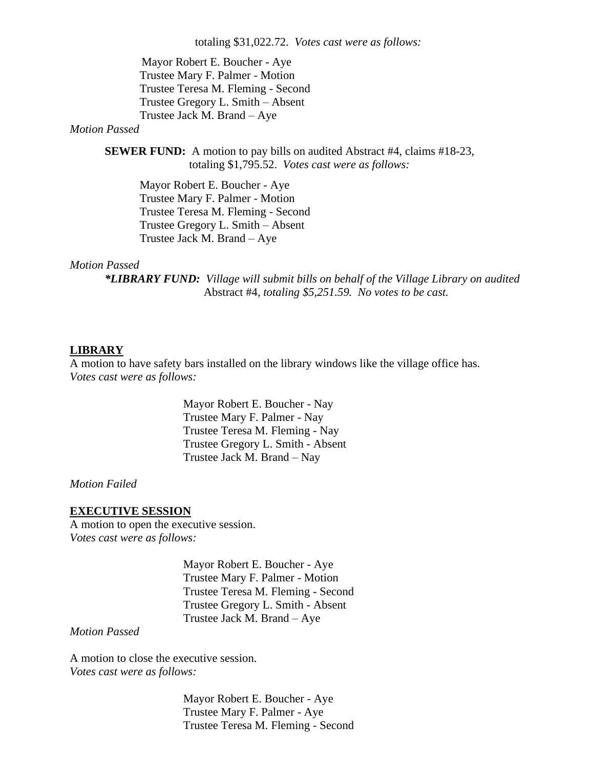totaling \$31,022.72. *Votes cast were as follows:*

 Mayor Robert E. Boucher - Aye Trustee Mary F. Palmer - Motion Trustee Teresa M. Fleming - Second Trustee Gregory L. Smith – Absent Trustee Jack M. Brand – Aye

### *Motion Passed*

**SEWER FUND:** A motion to pay bills on audited Abstract #4, claims #18-23, totaling \$1,795.52. *Votes cast were as follows:*

Mayor Robert E. Boucher - Aye Trustee Mary F. Palmer - Motion Trustee Teresa M. Fleming - Second Trustee Gregory L. Smith – Absent Trustee Jack M. Brand – Aye

#### *Motion Passed*

*\*LIBRARY FUND: Village will submit bills on behalf of the Village Library on audited* Abstract #4*, totaling \$5,251.59. No votes to be cast.*

#### **LIBRARY**

A motion to have safety bars installed on the library windows like the village office has. *Votes cast were as follows:*

> Mayor Robert E. Boucher - Nay Trustee Mary F. Palmer - Nay Trustee Teresa M. Fleming - Nay Trustee Gregory L. Smith - Absent Trustee Jack M. Brand – Nay

*Motion Failed*

### **EXECUTIVE SESSION**

A motion to open the executive session. *Votes cast were as follows:*

> Mayor Robert E. Boucher - Aye Trustee Mary F. Palmer - Motion Trustee Teresa M. Fleming - Second Trustee Gregory L. Smith - Absent Trustee Jack M. Brand – Aye

*Motion Passed*

A motion to close the executive session. *Votes cast were as follows:*

> Mayor Robert E. Boucher - Aye Trustee Mary F. Palmer - Aye Trustee Teresa M. Fleming - Second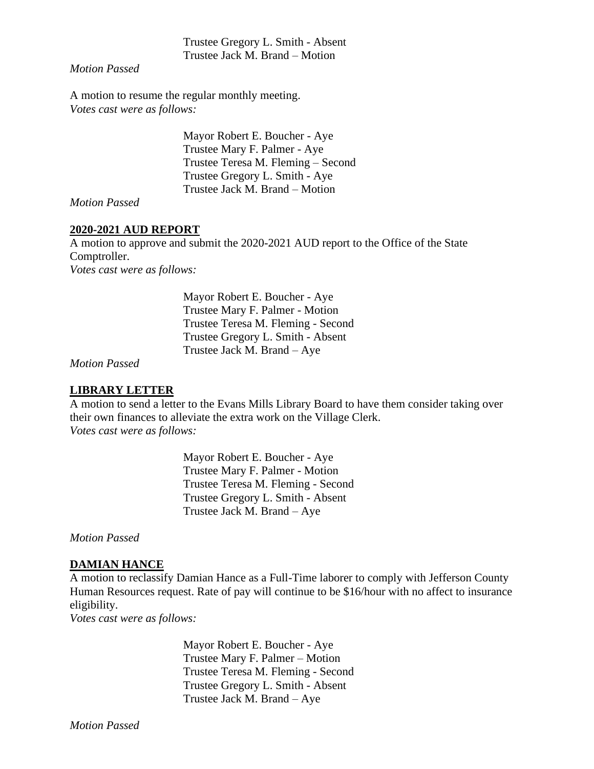Trustee Gregory L. Smith - Absent Trustee Jack M. Brand – Motion

*Motion Passed*

A motion to resume the regular monthly meeting. *Votes cast were as follows:*

> Mayor Robert E. Boucher - Aye Trustee Mary F. Palmer - Aye Trustee Teresa M. Fleming – Second Trustee Gregory L. Smith - Aye Trustee Jack M. Brand – Motion

*Motion Passed*

### **2020-2021 AUD REPORT**

A motion to approve and submit the 2020-2021 AUD report to the Office of the State Comptroller. *Votes cast were as follows:*

> Mayor Robert E. Boucher - Aye Trustee Mary F. Palmer - Motion Trustee Teresa M. Fleming - Second Trustee Gregory L. Smith - Absent Trustee Jack M. Brand – Aye

*Motion Passed*

### **LIBRARY LETTER**

A motion to send a letter to the Evans Mills Library Board to have them consider taking over their own finances to alleviate the extra work on the Village Clerk. *Votes cast were as follows:*

> Mayor Robert E. Boucher - Aye Trustee Mary F. Palmer - Motion Trustee Teresa M. Fleming - Second Trustee Gregory L. Smith - Absent Trustee Jack M. Brand – Aye

*Motion Passed*

### **DAMIAN HANCE**

A motion to reclassify Damian Hance as a Full-Time laborer to comply with Jefferson County Human Resources request. Rate of pay will continue to be \$16/hour with no affect to insurance eligibility.

*Votes cast were as follows:*

 Mayor Robert E. Boucher - Aye Trustee Mary F. Palmer – Motion Trustee Teresa M. Fleming - Second Trustee Gregory L. Smith - Absent Trustee Jack M. Brand – Aye